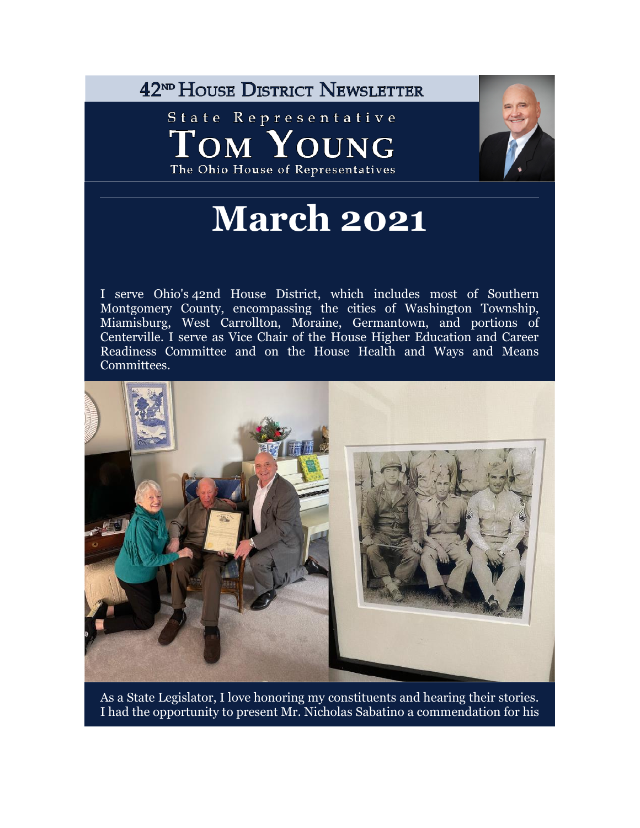42ND HOUSE DISTRICT NEWSLETTER

State Representative TOM YOUNG The Ohio House of Representatives



# **March 2021**

I serve Ohio's 42nd House District, which includes most of Southern Montgomery County, encompassing the cities of Washington Township, Miamisburg, West Carrollton, Moraine, Germantown, and portions of Centerville. I serve as Vice Chair of the House Higher Education and Career Readiness Committee and on the House Health and Ways and Means Committees.



As a State Legislator, I love honoring my constituents and hearing their stories. I had the opportunity to present Mr. Nicholas Sabatino a commendation for his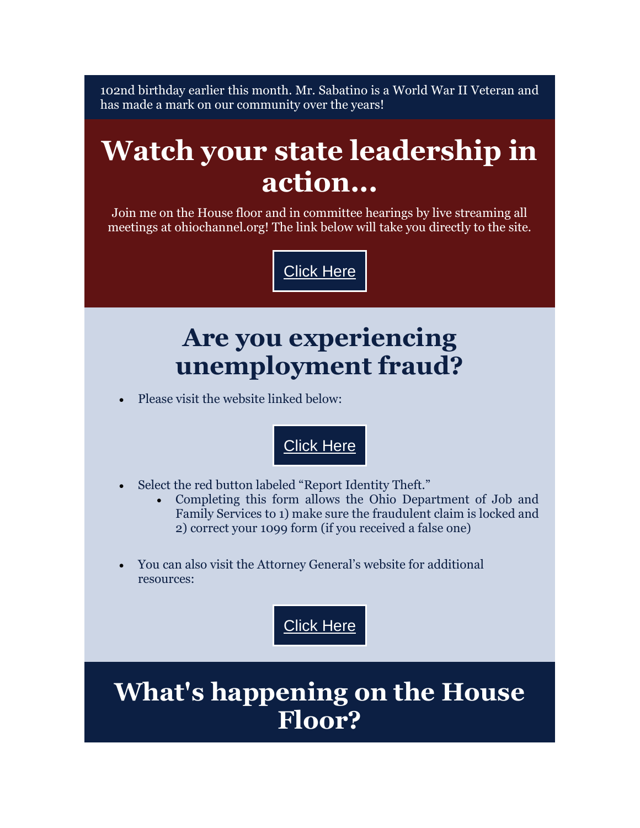102nd birthday earlier this month. Mr. Sabatino is a World War II Veteran and has made a mark on our community over the years!

## **Watch your state leadership in action...**

Join me on the House floor and in committee hearings by live streaming all meetings at ohiochannel.org! The link below will take you directly to the site.

[Click Here](http://ohiochannel.org/)

## **Are you experiencing unemployment fraud?**

Please visit the website linked below:

### [Click Here](https://urldefense.com/v3/__https:/unemploymenthelp.ohio.gov/__;!!AC6e5FAr!isqtuzr2kcSPsbeyo-mxnqtnwxGhuvCgHW3u01fED0r6ZMYdExf9sqgvVRvC6Lv7liH1V6DGHFVA$)

- Select the red button labeled "Report Identity Theft."
	- Completing this form allows the Ohio Department of Job and Family Services to 1) make sure the fraudulent claim is locked and 2) correct your 1099 form (if you received a false one)
- You can also visit the Attorney General's website for additional resources:



## **What's happening on the House Floor?**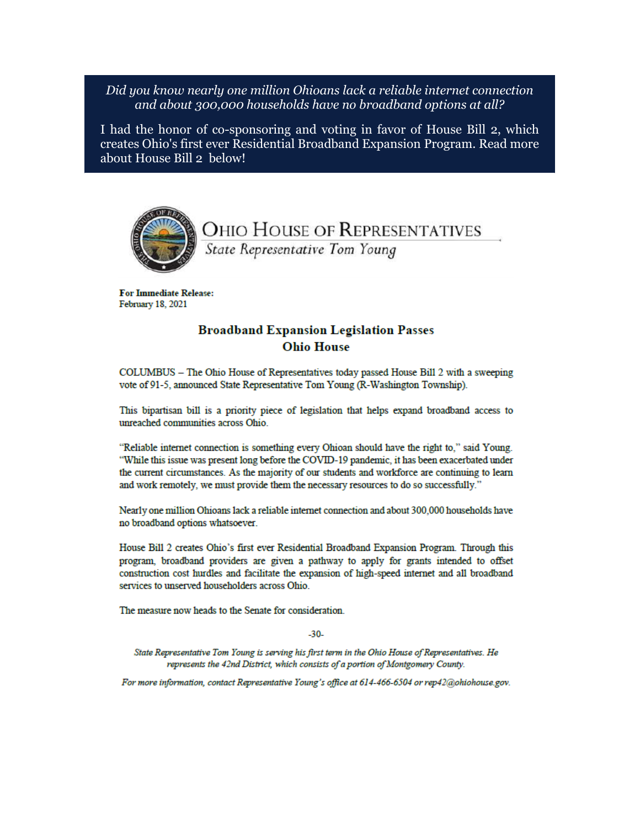Did you know nearly one million Ohioans lack a reliable internet connection and about 300,000 households have no broadband options at all?

I had the honor of co-sponsoring and voting in favor of House Bill 2, which creates Ohio's first ever Residential Broadband Expansion Program. Read more about House Bill 2 below!



**For Immediate Release:** February 18, 2021

#### **Broadband Expansion Legislation Passes Ohio House**

COLUMBUS – The Ohio House of Representatives today passed House Bill 2 with a sweeping vote of 91-5, announced State Representative Tom Young (R-Washington Township).

This bipartisan bill is a priority piece of legislation that helps expand broadband access to unreached communities across Ohio.

"Reliable internet connection is something every Ohioan should have the right to," said Young. "While this issue was present long before the COVID-19 pandemic, it has been exacerbated under the current circumstances. As the majority of our students and workforce are continuing to learn and work remotely, we must provide them the necessary resources to do so successfully."

Nearly one million Ohioans lack a reliable internet connection and about 300,000 households have no broadband options whatsoever.

House Bill 2 creates Ohio's first ever Residential Broadband Expansion Program. Through this program, broadband providers are given a pathway to apply for grants intended to offset construction cost hurdles and facilitate the expansion of high-speed internet and all broadband services to unserved householders across Ohio.

The measure now heads to the Senate for consideration.

 $30<sub>1</sub>$ 

State Representative Tom Young is serving his first term in the Ohio House of Representatives. He represents the 42nd District, which consists of a portion of Montgomery County.

For more information, contact Representative Young's office at 614-466-6504 or rep42@ohiohouse.gov.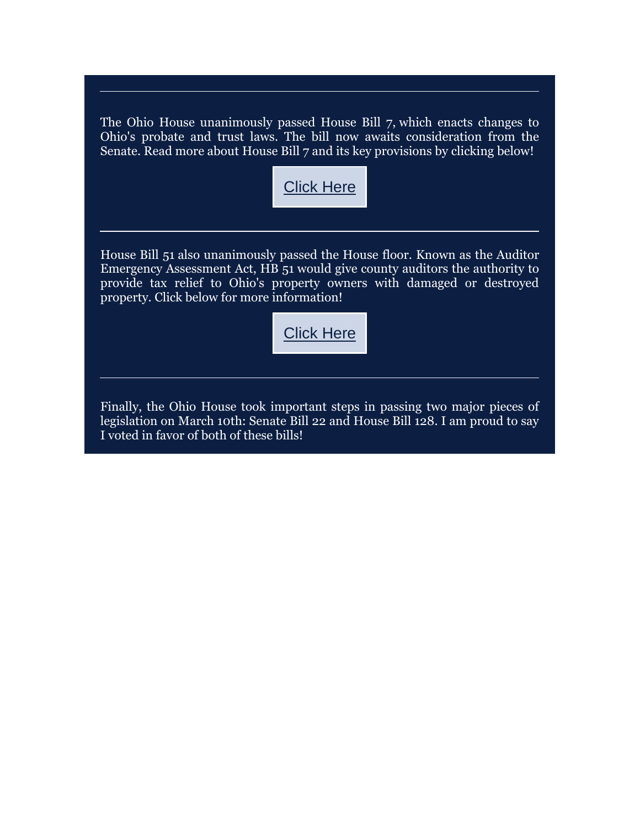The Ohio House unanimously passed House Bill 7, which enacts changes to Ohio's probate and trust laws. The bill now awaits consideration from the Senate. Read more about House Bill 7 and its key provisions by clicking below!



House Bill 51 also unanimously passed the House floor. Known as the Auditor Emergency Assessment Act, HB 51 would give county auditors the authority to provide tax relief to Ohio's property owners with damaged or destroyed property. Click below for more information!

[Click Here](https://ohiohouse.gov/legislation/134/hb51)

Finally, the Ohio House took important steps in passing two major pieces of legislation on March 10th: Senate Bill 22 and House Bill 128. I am proud to say I voted in favor of both of these bills!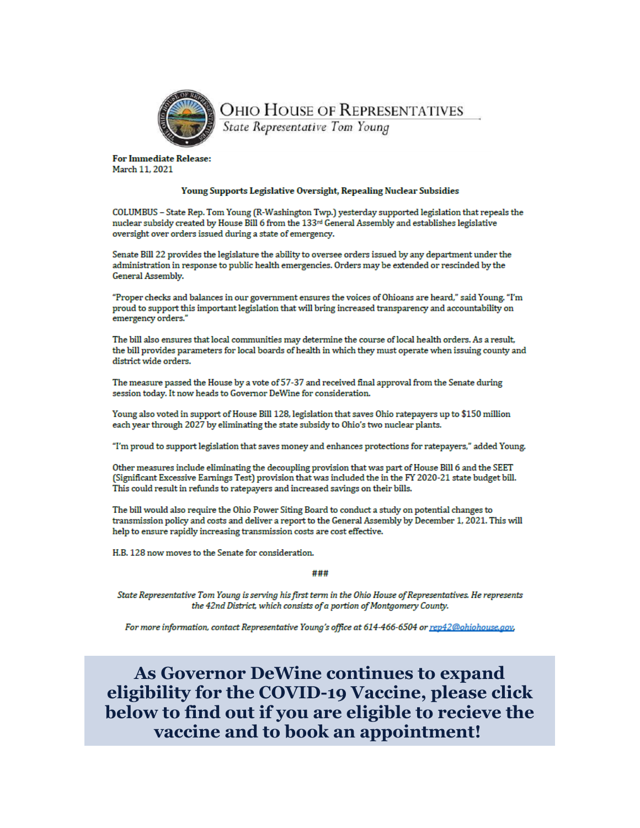

**OHIO HOUSE OF REPRESENTATIVES** 

State Representative Tom Young

**For Immediate Release:** March 11, 2021

#### Young Supports Legislative Oversight, Repealing Nuclear Subsidies

COLUMBUS - State Rep. Tom Young (R-Washington Twp.) yesterday supported legislation that repeals the nuclear subsidy created by House Bill 6 from the 133<sup>rd</sup> General Assembly and establishes legislative oversight over orders issued during a state of emergency.

Senate Bill 22 provides the legislature the ability to oversee orders issued by any department under the administration in response to public health emergencies. Orders may be extended or rescinded by the General Assembly.

"Proper checks and balances in our government ensures the voices of Ohioans are heard," said Young. "I'm proud to support this important legislation that will bring increased transparency and accountability on emergency orders."

The bill also ensures that local communities may determine the course of local health orders. As a result, the bill provides parameters for local boards of health in which they must operate when issuing county and district wide orders.

The measure passed the House by a vote of 57-37 and received final approval from the Senate during session today. It now heads to Governor DeWine for consideration.

Young also voted in support of House Bill 128, legislation that saves Ohio ratepayers up to \$150 million each year through 2027 by eliminating the state subsidy to Ohio's two nuclear plants.

"I'm proud to support legislation that saves money and enhances protections for ratepayers," added Young.

Other measures include eliminating the decoupling provision that was part of House Bill 6 and the SEET (Significant Excessive Earnings Test) provision that was included the in the FY 2020-21 state budget bill. This could result in refunds to ratepayers and increased savings on their bills.

The bill would also require the Ohio Power Siting Board to conduct a study on potential changes to transmission policy and costs and deliver a report to the General Assembly by December 1, 2021. This will help to ensure rapidly increasing transmission costs are cost effective.

H.B. 128 now moves to the Senate for consideration.

###

State Representative Tom Young is serving his first term in the Ohio House of Representatives. He represents the 42nd District, which consists of a portion of Montgomery County.

For more information, contact Representative Young's office at 614-466-6504 or rep42@ohiohouse.gov,

As Governor DeWine continues to expand eligibility for the COVID-19 Vaccine, please click below to find out if you are eligible to recieve the vaccine and to book an appointment!